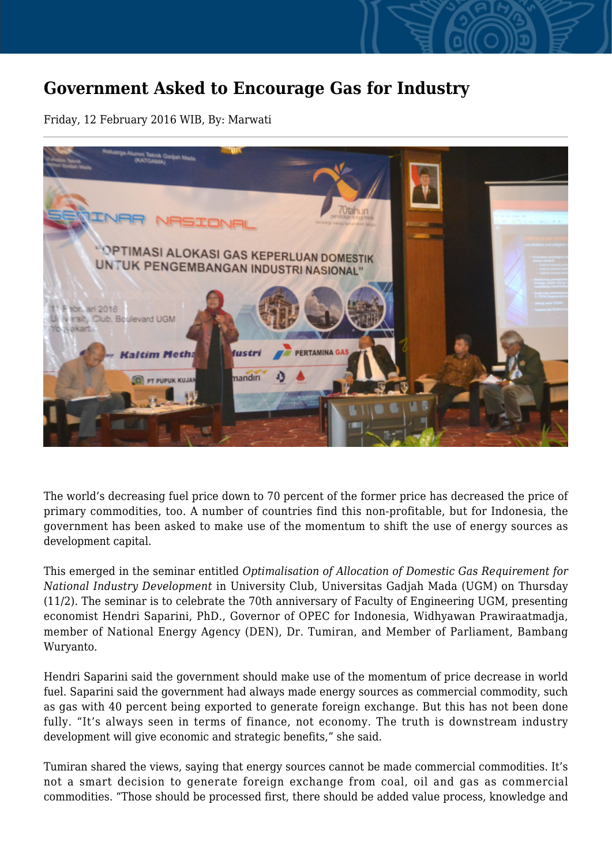## **Government Asked to Encourage Gas for Industry**

Friday, 12 February 2016 WIB, By: Marwati



The world's decreasing fuel price down to 70 percent of the former price has decreased the price of primary commodities, too. A number of countries find this non-profitable, but for Indonesia, the government has been asked to make use of the momentum to shift the use of energy sources as development capital.

This emerged in the seminar entitled *Optimalisation of Allocation of Domestic Gas Requirement for National Industry Development* in University Club, Universitas Gadjah Mada (UGM) on Thursday (11/2). The seminar is to celebrate the 70th anniversary of Faculty of Engineering UGM, presenting economist Hendri Saparini, PhD., Governor of OPEC for Indonesia, Widhyawan Prawiraatmadja, member of National Energy Agency (DEN), Dr. Tumiran, and Member of Parliament, Bambang Wuryanto.

Hendri Saparini said the government should make use of the momentum of price decrease in world fuel. Saparini said the government had always made energy sources as commercial commodity, such as gas with 40 percent being exported to generate foreign exchange. But this has not been done fully. "It's always seen in terms of finance, not economy. The truth is downstream industry development will give economic and strategic benefits," she said.

Tumiran shared the views, saying that energy sources cannot be made commercial commodities. It's not a smart decision to generate foreign exchange from coal, oil and gas as commercial commodities. "Those should be processed first, there should be added value process, knowledge and